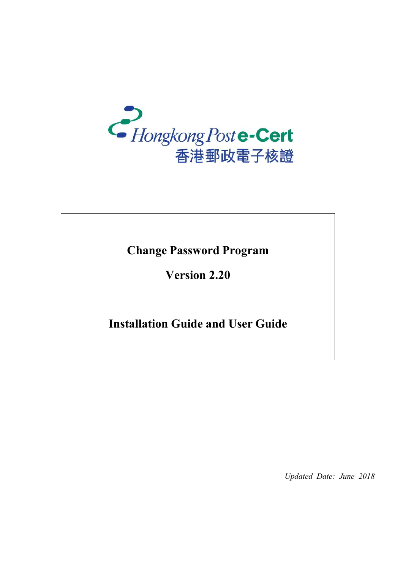

**Change Password Program** 

**Version 2.20** 

**Installation Guide and User Guide**

*Updated Date: June 2018*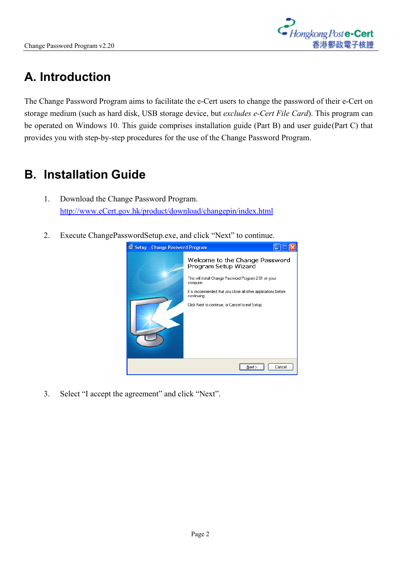

## **A. Introduction**

The Change Password Program aims to facilitate the e-Cert users to change the password of their e-Cert on storage medium (such as hard disk, USB storage device, but *excludes e-Cert File Card*). This program can be operated on Windows 10. This guide comprises installation guide (Part B) and user guide(Part C) that provides you with step-by-step procedures for the use of the Change Password Program.

## **B. Installation Guide**

- 1. Download the Change Password Program. [http://www.eCert.gov.hk/product/download/changepin/index.html](http://www.ecert.gov.hk/product/download/changepin/index.html)
- 2. Execute ChangePasswordSetup.exe, and click "Next" to continue.

| 15 Setup - Change Password Program |                                                                               |
|------------------------------------|-------------------------------------------------------------------------------|
|                                    | Welcome to the Change Password<br>Program Setup Wizard                        |
|                                    | This will install Change Password Program 2.01 on your<br>computer.           |
|                                    | It is recommended that you close all other applications before<br>continuing. |
|                                    | Click Next to continue, or Cancel to exit Setup.                              |
|                                    | Cancel<br>Next >                                                              |

3. Select "I accept the agreement" and click "Next".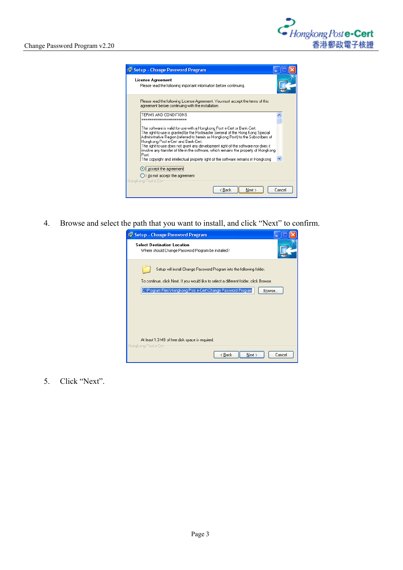| 15 Setup - Change Password Program                                                                                                                                                                                                                                                                                                                                                                                                                                                                                                                               |        |
|------------------------------------------------------------------------------------------------------------------------------------------------------------------------------------------------------------------------------------------------------------------------------------------------------------------------------------------------------------------------------------------------------------------------------------------------------------------------------------------------------------------------------------------------------------------|--------|
| <b>License Agreement</b><br>Please read the following important information before continuing.                                                                                                                                                                                                                                                                                                                                                                                                                                                                   |        |
| Please read the following License Agreement. You must accept the terms of this<br>agreement before continuing with the installation.                                                                                                                                                                                                                                                                                                                                                                                                                             |        |
| TEBMS AND CONDITIONS                                                                                                                                                                                                                                                                                                                                                                                                                                                                                                                                             |        |
| The software is valid for use with a Hongkong Post e-Cert or Bank-Cert.<br>The right-to-use is granted by the Postmaster General of the Hong Kong Special<br>Administrative Region (referred to herein as Hongkong Post) to the Subscribers of<br>Hongkong Post e-Cert and Bank-Cert.<br>The right-to-use does not grant any development right of the software nor does it<br>involve any transfer of title in the software, which remains the property of Hongkong<br>Post<br>The copyright and intellectual property right of the software remains in Hongkong |        |
| $\odot$ accept the agreement<br>$\bigcirc$ I do not accept the agreement<br>Hongkong Post e-Cert -                                                                                                                                                                                                                                                                                                                                                                                                                                                               |        |
| < Back<br>Next                                                                                                                                                                                                                                                                                                                                                                                                                                                                                                                                                   | Cancel |

4. Browse and select the path that you want to install, and click "Next" to confirm.

| 15 Setup - Change Password Program                                                       |
|------------------------------------------------------------------------------------------|
| <b>Select Destination Location</b><br>Where should Change Password Program be installed? |
| Setup will install Change Password Program into the following folder.                    |
| To continue, click Next. If you would like to select a different folder, click Browse.   |
| C:\Program Files\Hongkong Post e-Cert\Change Password Program<br>Browse                  |
|                                                                                          |
|                                                                                          |
| At least 1.3 MB of free disk space is required.<br>Hongkong Post e-Cert -                |
| < <u>B</u> ack<br>Next ><br>Cancel                                                       |

5. Click "Next".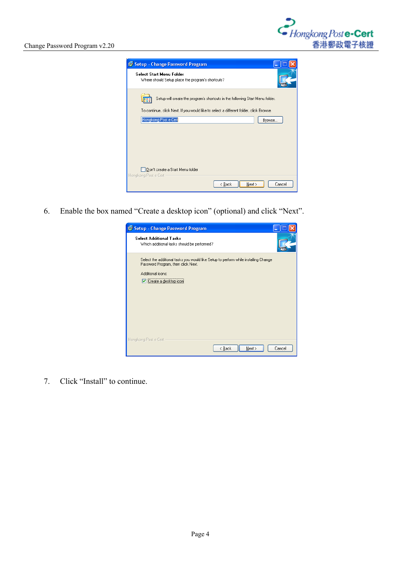

| 15 Setup - Change Password Program                                                     |        |
|----------------------------------------------------------------------------------------|--------|
| Select Start Menu Folder<br>Where should Setup place the program's shortcuts?          |        |
| Setup will create the program's shortcuts in the following Start Menu folder.          |        |
| To continue, click Next. If you would like to select a different folder, click Browse. |        |
| Hongkong Post e-Cert                                                                   | Browse |
|                                                                                        |        |
|                                                                                        |        |
|                                                                                        |        |
|                                                                                        |        |
| Don't create a Start Menu folder                                                       |        |
| Hongkong Post e-Cert -                                                                 |        |
| < <u>B</u> ack<br>Next >                                                               | Cancel |

6. Enable the box named "Create a desktop icon" (optional) and click "Next".

| is Setup - Change Password Program                                                                                                                                         |        |
|----------------------------------------------------------------------------------------------------------------------------------------------------------------------------|--------|
| <b>Select Additional Tasks</b><br>Which additional tasks should be performed?                                                                                              |        |
| Select the additional tasks you would like Setup to perform while installing Change<br>Password Program, then click Next.<br>Additional icons:<br>Li Create a desktop icon |        |
| Hongkong Post e-Cert<br>< Back<br>Next >                                                                                                                                   | Cancel |

7. Click "Install" to continue.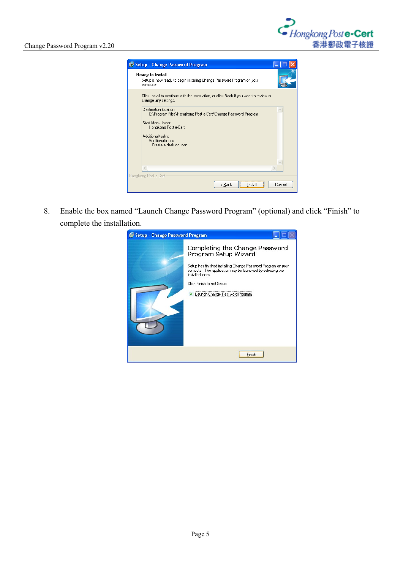| 15 Setup - Change Password Program                                                                              |        |
|-----------------------------------------------------------------------------------------------------------------|--------|
| Ready to Install<br>Setup is now ready to begin installing Change Password Program on your<br>computer.         |        |
| Click Install to continue with the installation, or click Back if you want to review or<br>change any settings. |        |
| Destination location:<br>C:\Program Files\Hongkong Post e-Cert\Change Password Program<br>Start Menu folder:    |        |
| Hongkong Post e-Cert                                                                                            |        |
| Additional tasks:<br>Additional icons:<br>Create a desktop icon                                                 |        |
|                                                                                                                 |        |
| Hongkong Post e-Cert                                                                                            |        |
| < Back<br>Install                                                                                               | Cancel |

8. Enable the box named "Launch Change Password Program" (optional) and click "Finish" to complete the installation.

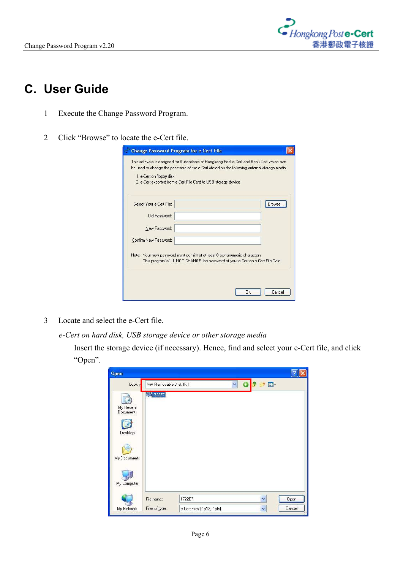

## **C. User Guide**

- 1 Execute the Change Password Program.
- 2 Click "Browse" to locate the e-Cert file.

| 1. e-Cert on floppy disk<br>2. e-Cert exported from e-Cert File Card to USB storage device |                                                                               |        |
|--------------------------------------------------------------------------------------------|-------------------------------------------------------------------------------|--------|
| Select Your e-Cert File:                                                                   |                                                                               | Browse |
| Old Password:                                                                              |                                                                               |        |
| New Password:                                                                              |                                                                               |        |
| Confirm New Password:                                                                      |                                                                               |        |
| Note: Your new password must consist of at least 8 alphanumeric characters.                | This program WILL NOT CHANGE the password of your e-Cert on e-Cert File Card. |        |

3 Locate and select the e-Cert file.

*e-Cert on hard disk, USB storage device or other storage media*

Insert the storage device (if necessary). Hence, find and select your e-Cert file, and click "Open".

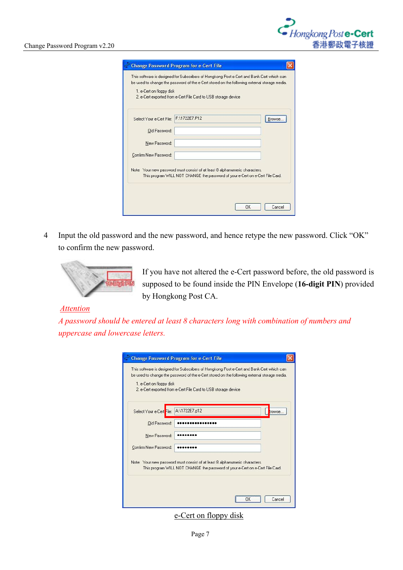| 1. e-Cert on floppy disk | 2. e-Cert exported from e-Cert File Card to USB storage device                                                                                               |         |
|--------------------------|--------------------------------------------------------------------------------------------------------------------------------------------------------------|---------|
| Select Your e-Cert File: | F:\1722E7.P12                                                                                                                                                | Browse. |
| Old Password:            |                                                                                                                                                              |         |
| New Password:            |                                                                                                                                                              |         |
| Confirm New Password:    |                                                                                                                                                              |         |
|                          | Note: Your new password must consist of at least 8 alphanumeric characters.<br>This program WILL NOT CHANGE the password of your e-Cert on e-Cert File Card. |         |

4 Input the old password and the new password, and hence retype the new password. Click "OK" to confirm the new password.



If you have not altered the e-Cert password before, the old password is supposed to be found inside the PIN Envelope (**16-digit PIN**) provided by Hongkong Post CA.

## *Attention*

*A password should be entered at least 8 characters long with combination of numbers and uppercase and lowercase letters.*

| 1. e-Cert on floppy disk | 2. e-Cert exported from e-Cert File Card to USB storage device                                                                                               |  |
|--------------------------|--------------------------------------------------------------------------------------------------------------------------------------------------------------|--|
| Select Your e-Cert File: | A:\1722E7.p12<br>rowse.                                                                                                                                      |  |
| Old Password:            |                                                                                                                                                              |  |
| New Password:            |                                                                                                                                                              |  |
| Confirm New Password:    |                                                                                                                                                              |  |
|                          | Note: Your new password must consist of at least 8 alphanumeric characters.<br>This program WILL NOT CHANGE the password of your e-Cert on e-Cert File Card. |  |

e-Cert on floppy disk